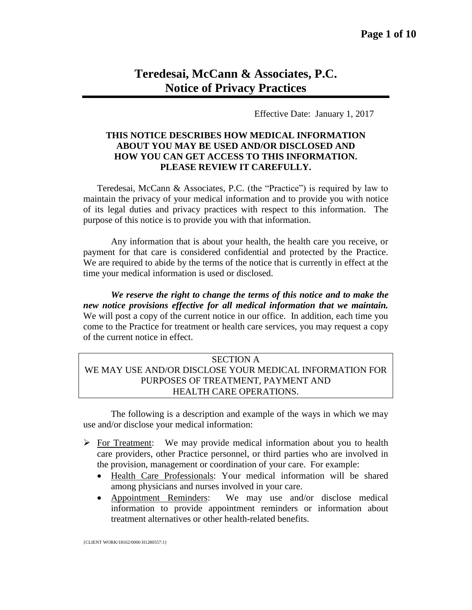# **Teredesai, McCann & Associates, P.C. Notice of Privacy Practices**

Effective Date: January 1, 2017

### **THIS NOTICE DESCRIBES HOW MEDICAL INFORMATION ABOUT YOU MAY BE USED AND/OR DISCLOSED AND HOW YOU CAN GET ACCESS TO THIS INFORMATION. PLEASE REVIEW IT CAREFULLY.**

Teredesai, McCann & Associates, P.C. (the "Practice") is required by law to maintain the privacy of your medical information and to provide you with notice of its legal duties and privacy practices with respect to this information. The purpose of this notice is to provide you with that information.

Any information that is about your health, the health care you receive, or payment for that care is considered confidential and protected by the Practice. We are required to abide by the terms of the notice that is currently in effect at the time your medical information is used or disclosed.

*We reserve the right to change the terms of this notice and to make the new notice provisions effective for all medical information that we maintain.*  We will post a copy of the current notice in our office. In addition, each time you come to the Practice for treatment or health care services, you may request a copy of the current notice in effect.

# SECTION A WE MAY USE AND/OR DISCLOSE YOUR MEDICAL INFORMATION FOR PURPOSES OF TREATMENT, PAYMENT AND HEALTH CARE OPERATIONS.

The following is a description and example of the ways in which we may use and/or disclose your medical information:

- $\triangleright$  For Treatment: We may provide medical information about you to health care providers, other Practice personnel, or third parties who are involved in the provision, management or coordination of your care. For example:
	- Health Care Professionals: Your medical information will be shared among physicians and nurses involved in your care.
	- Appointment Reminders: We may use and/or disclose medical information to provide appointment reminders or information about treatment alternatives or other health-related benefits.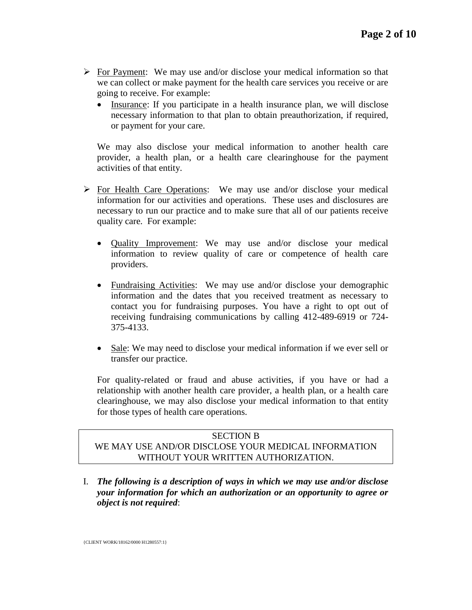- $\triangleright$  For Payment: We may use and/or disclose your medical information so that we can collect or make payment for the health care services you receive or are going to receive. For example:
	- Insurance: If you participate in a health insurance plan, we will disclose necessary information to that plan to obtain preauthorization, if required, or payment for your care.

We may also disclose your medical information to another health care provider, a health plan, or a health care clearinghouse for the payment activities of that entity.

- $\triangleright$  For Health Care Operations: We may use and/or disclose your medical information for our activities and operations. These uses and disclosures are necessary to run our practice and to make sure that all of our patients receive quality care. For example:
	- Quality Improvement: We may use and/or disclose your medical information to review quality of care or competence of health care providers.
	- Fundraising Activities: We may use and/or disclose your demographic information and the dates that you received treatment as necessary to contact you for fundraising purposes. You have a right to opt out of receiving fundraising communications by calling 412-489-6919 or 724- 375-4133.
	- Sale: We may need to disclose your medical information if we ever sell or transfer our practice.

For quality-related or fraud and abuse activities, if you have or had a relationship with another health care provider, a health plan, or a health care clearinghouse, we may also disclose your medical information to that entity for those types of health care operations.

# SECTION B WE MAY USE AND/OR DISCLOSE YOUR MEDICAL INFORMATION WITHOUT YOUR WRITTEN AUTHORIZATION.

I. *The following is a description of ways in which we may use and/or disclose your information for which an authorization or an opportunity to agree or object is not required*: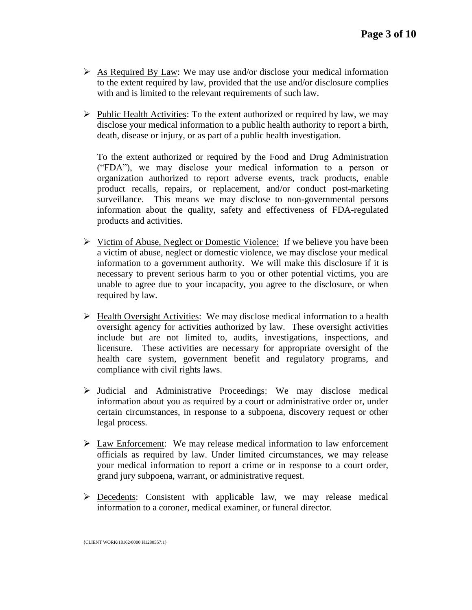- $\triangleright$  As Required By Law: We may use and/or disclose your medical information to the extent required by law, provided that the use and/or disclosure complies with and is limited to the relevant requirements of such law.
- $\triangleright$  Public Health Activities: To the extent authorized or required by law, we may disclose your medical information to a public health authority to report a birth, death, disease or injury, or as part of a public health investigation.

To the extent authorized or required by the Food and Drug Administration ("FDA"), we may disclose your medical information to a person or organization authorized to report adverse events, track products, enable product recalls, repairs, or replacement, and/or conduct post-marketing surveillance. This means we may disclose to non-governmental persons information about the quality, safety and effectiveness of FDA-regulated products and activities.

- $\triangleright$  Victim of Abuse, Neglect or Domestic Violence: If we believe you have been a victim of abuse, neglect or domestic violence, we may disclose your medical information to a government authority. We will make this disclosure if it is necessary to prevent serious harm to you or other potential victims, you are unable to agree due to your incapacity, you agree to the disclosure, or when required by law.
- $\triangleright$  Health Oversight Activities: We may disclose medical information to a health oversight agency for activities authorized by law. These oversight activities include but are not limited to, audits, investigations, inspections, and licensure. These activities are necessary for appropriate oversight of the health care system, government benefit and regulatory programs, and compliance with civil rights laws.
- Judicial and Administrative Proceedings: We may disclose medical information about you as required by a court or administrative order or, under certain circumstances, in response to a subpoena, discovery request or other legal process.
- $\triangleright$  Law Enforcement: We may release medical information to law enforcement officials as required by law. Under limited circumstances, we may release your medical information to report a crime or in response to a court order, grand jury subpoena, warrant, or administrative request.
- $\triangleright$  Decedents: Consistent with applicable law, we may release medical information to a coroner, medical examiner, or funeral director.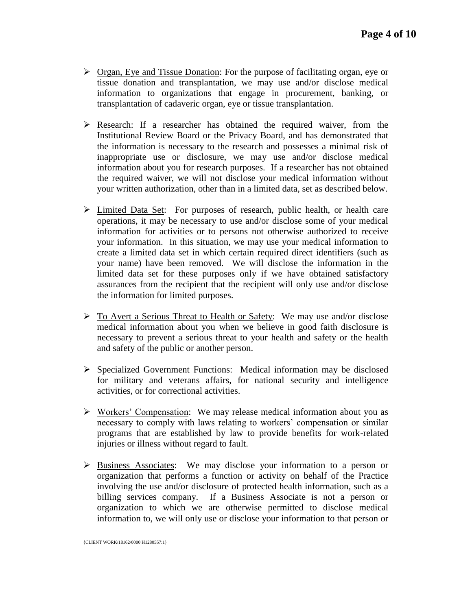- $\triangleright$  Organ, Eye and Tissue Donation: For the purpose of facilitating organ, eye or tissue donation and transplantation, we may use and/or disclose medical information to organizations that engage in procurement, banking, or transplantation of cadaveric organ, eye or tissue transplantation.
- $\triangleright$  Research: If a researcher has obtained the required waiver, from the Institutional Review Board or the Privacy Board, and has demonstrated that the information is necessary to the research and possesses a minimal risk of inappropriate use or disclosure, we may use and/or disclose medical information about you for research purposes. If a researcher has not obtained the required waiver, we will not disclose your medical information without your written authorization, other than in a limited data, set as described below.
- $\triangleright$  Limited Data Set: For purposes of research, public health, or health care operations, it may be necessary to use and/or disclose some of your medical information for activities or to persons not otherwise authorized to receive your information. In this situation, we may use your medical information to create a limited data set in which certain required direct identifiers (such as your name) have been removed. We will disclose the information in the limited data set for these purposes only if we have obtained satisfactory assurances from the recipient that the recipient will only use and/or disclose the information for limited purposes.
- $\triangleright$  To Avert a Serious Threat to Health or Safety: We may use and/or disclose medical information about you when we believe in good faith disclosure is necessary to prevent a serious threat to your health and safety or the health and safety of the public or another person.
- Specialized Government Functions: Medical information may be disclosed for military and veterans affairs, for national security and intelligence activities, or for correctional activities.
- $\triangleright$  Workers' Compensation: We may release medical information about you as necessary to comply with laws relating to workers' compensation or similar programs that are established by law to provide benefits for work-related injuries or illness without regard to fault.
- $\triangleright$  Business Associates: We may disclose your information to a person or organization that performs a function or activity on behalf of the Practice involving the use and/or disclosure of protected health information, such as a billing services company. If a Business Associate is not a person or organization to which we are otherwise permitted to disclose medical information to, we will only use or disclose your information to that person or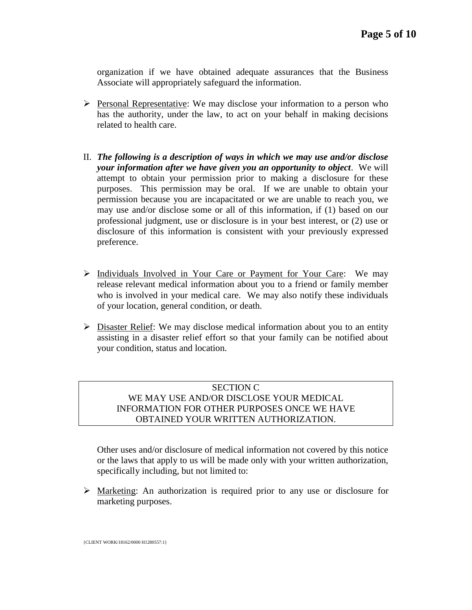organization if we have obtained adequate assurances that the Business Associate will appropriately safeguard the information.

- $\triangleright$  Personal Representative: We may disclose your information to a person who has the authority, under the law, to act on your behalf in making decisions related to health care.
- II. *The following is a description of ways in which we may use and/or disclose your information after we have given you an opportunity to object*. We will attempt to obtain your permission prior to making a disclosure for these purposes. This permission may be oral. If we are unable to obtain your permission because you are incapacitated or we are unable to reach you, we may use and/or disclose some or all of this information, if (1) based on our professional judgment, use or disclosure is in your best interest, or (2) use or disclosure of this information is consistent with your previously expressed preference.
- $\triangleright$  Individuals Involved in Your Care or Payment for Your Care: We may release relevant medical information about you to a friend or family member who is involved in your medical care. We may also notify these individuals of your location, general condition, or death.
- $\triangleright$  Disaster Relief: We may disclose medical information about you to an entity assisting in a disaster relief effort so that your family can be notified about your condition, status and location.

# SECTION C WE MAY USE AND/OR DISCLOSE YOUR MEDICAL INFORMATION FOR OTHER PURPOSES ONCE WE HAVE OBTAINED YOUR WRITTEN AUTHORIZATION.

Other uses and/or disclosure of medical information not covered by this notice or the laws that apply to us will be made only with your written authorization, specifically including, but not limited to:

 $\triangleright$  Marketing: An authorization is required prior to any use or disclosure for marketing purposes.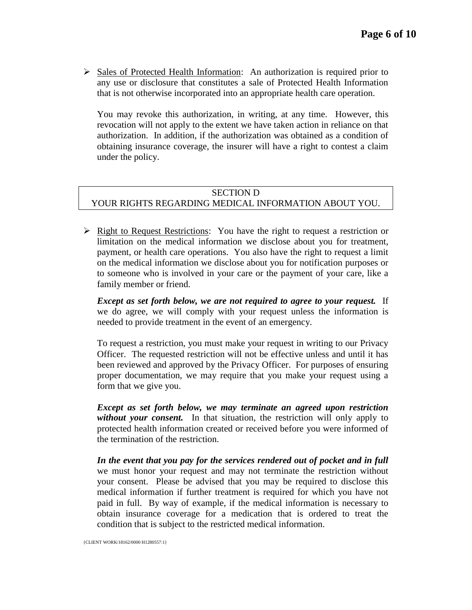$\triangleright$  Sales of Protected Health Information: An authorization is required prior to any use or disclosure that constitutes a sale of Protected Health Information that is not otherwise incorporated into an appropriate health care operation.

You may revoke this authorization, in writing, at any time.However, this revocation will not apply to the extent we have taken action in reliance on that authorization. In addition, if the authorization was obtained as a condition of obtaining insurance coverage, the insurer will have a right to contest a claim under the policy.

#### SECTION D YOUR RIGHTS REGARDING MEDICAL INFORMATION ABOUT YOU.

 $\triangleright$  Right to Request Restrictions: You have the right to request a restriction or limitation on the medical information we disclose about you for treatment, payment, or health care operations. You also have the right to request a limit on the medical information we disclose about you for notification purposes or to someone who is involved in your care or the payment of your care, like a family member or friend.

*Except as set forth below, we are not required to agree to your request.* If we do agree, we will comply with your request unless the information is needed to provide treatment in the event of an emergency.

To request a restriction, you must make your request in writing to our Privacy Officer. The requested restriction will not be effective unless and until it has been reviewed and approved by the Privacy Officer. For purposes of ensuring proper documentation, we may require that you make your request using a form that we give you.

*Except as set forth below, we may terminate an agreed upon restriction without your consent.* In that situation, the restriction will only apply to protected health information created or received before you were informed of the termination of the restriction.

*In the event that you pay for the services rendered out of pocket and in full* we must honor your request and may not terminate the restriction without your consent. Please be advised that you may be required to disclose this medical information if further treatment is required for which you have not paid in full. By way of example, if the medical information is necessary to obtain insurance coverage for a medication that is ordered to treat the condition that is subject to the restricted medical information.

{CLIENT WORK/18162/0000 H1280557:1}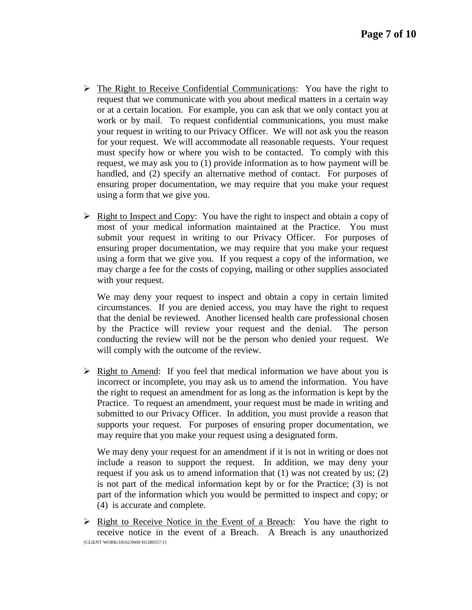- The Right to Receive Confidential Communications: You have the right to request that we communicate with you about medical matters in a certain way or at a certain location. For example, you can ask that we only contact you at work or by mail. To request confidential communications, you must make your request in writing to our Privacy Officer. We will not ask you the reason for your request. We will accommodate all reasonable requests. Your request must specify how or where you wish to be contacted. To comply with this request, we may ask you to (1) provide information as to how payment will be handled, and (2) specify an alternative method of contact. For purposes of ensuring proper documentation, we may require that you make your request using a form that we give you.
- $\triangleright$  Right to Inspect and Copy: You have the right to inspect and obtain a copy of most of your medical information maintained at the Practice. You must submit your request in writing to our Privacy Officer. For purposes of ensuring proper documentation, we may require that you make your request using a form that we give you. If you request a copy of the information, we may charge a fee for the costs of copying, mailing or other supplies associated with your request.

We may deny your request to inspect and obtain a copy in certain limited circumstances. If you are denied access, you may have the right to request that the denial be reviewed. Another licensed health care professional chosen by the Practice will review your request and the denial. The person conducting the review will not be the person who denied your request. We will comply with the outcome of the review.

 $\triangleright$  Right to Amend: If you feel that medical information we have about you is incorrect or incomplete, you may ask us to amend the information. You have the right to request an amendment for as long as the information is kept by the Practice. To request an amendment, your request must be made in writing and submitted to our Privacy Officer. In addition, you must provide a reason that supports your request. For purposes of ensuring proper documentation, we may require that you make your request using a designated form.

We may deny your request for an amendment if it is not in writing or does not include a reason to support the request. In addition, we may deny your request if you ask us to amend information that (1) was not created by us; (2) is not part of the medical information kept by or for the Practice; (3) is not part of the information which you would be permitted to inspect and copy; or (4) is accurate and complete.

{CLIENT WORK/18162/0000 H1280557:1}  $\triangleright$  Right to Receive Notice in the Event of a Breach: You have the right to receive notice in the event of a Breach. A Breach is any unauthorized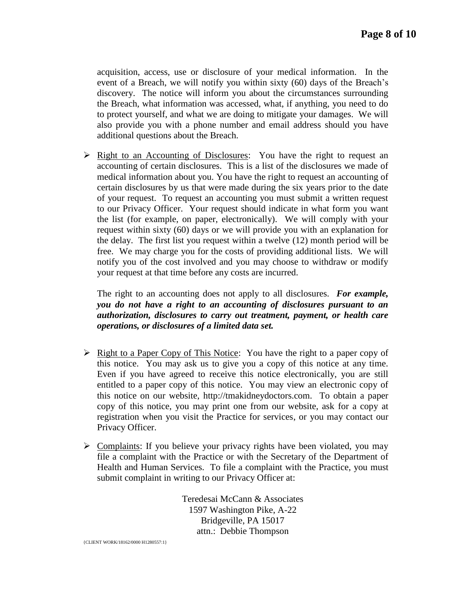acquisition, access, use or disclosure of your medical information. In the event of a Breach, we will notify you within sixty (60) days of the Breach's discovery. The notice will inform you about the circumstances surrounding the Breach, what information was accessed, what, if anything, you need to do to protect yourself, and what we are doing to mitigate your damages. We will also provide you with a phone number and email address should you have additional questions about the Breach.

 $\triangleright$  Right to an Accounting of Disclosures: You have the right to request an accounting of certain disclosures. This is a list of the disclosures we made of medical information about you. You have the right to request an accounting of certain disclosures by us that were made during the six years prior to the date of your request. To request an accounting you must submit a written request to our Privacy Officer. Your request should indicate in what form you want the list (for example, on paper, electronically). We will comply with your request within sixty (60) days or we will provide you with an explanation for the delay. The first list you request within a twelve (12) month period will be free. We may charge you for the costs of providing additional lists. We will notify you of the cost involved and you may choose to withdraw or modify your request at that time before any costs are incurred.

The right to an accounting does not apply to all disclosures. *For example, you do not have a right to an accounting of disclosures pursuant to an authorization, disclosures to carry out treatment, payment, or health care operations, or disclosures of a limited data set.* 

- $\triangleright$  Right to a Paper Copy of This Notice: You have the right to a paper copy of this notice. You may ask us to give you a copy of this notice at any time. Even if you have agreed to receive this notice electronically, you are still entitled to a paper copy of this notice. You may view an electronic copy of this notice on our website, http://tmakidneydoctors.com. To obtain a paper copy of this notice, you may print one from our website, ask for a copy at registration when you visit the Practice for services, or you may contact our Privacy Officer.
- $\triangleright$  Complaints: If you believe your privacy rights have been violated, you may file a complaint with the Practice or with the Secretary of the Department of Health and Human Services. To file a complaint with the Practice, you must submit complaint in writing to our Privacy Officer at:

Teredesai McCann & Associates 1597 Washington Pike, A-22 Bridgeville, PA 15017 attn.: Debbie Thompson

{CLIENT WORK/18162/0000 H1280557:1}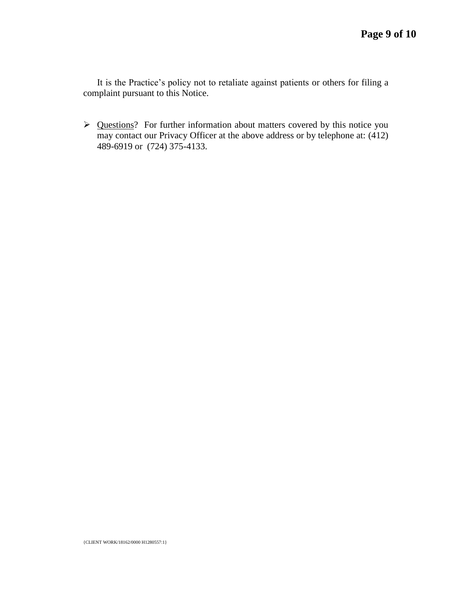It is the Practice's policy not to retaliate against patients or others for filing a complaint pursuant to this Notice.

> Questions? For further information about matters covered by this notice you may contact our Privacy Officer at the above address or by telephone at: (412) 489-6919 or (724) 375-4133.